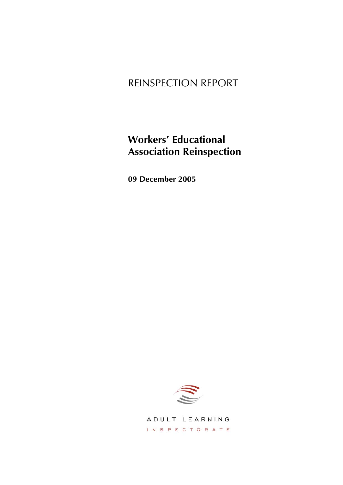# REINSPECTION REPORT

# **Workers' Educational Association Reinspection**

**09 December 2005**



ADULT LEARNING INSPECTORATE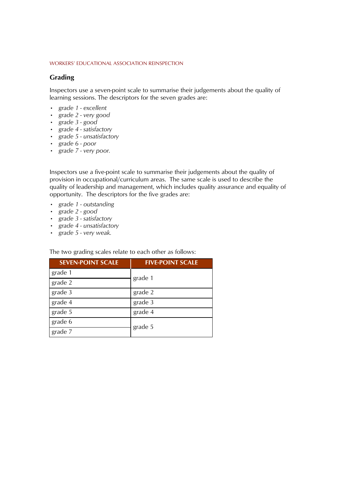### **Grading**

Inspectors use a seven-point scale to summarise their judgements about the quality of learning sessions. The descriptors for the seven grades are:

- *ï grade 1 excellent*
- *ï grade 2 very good*
- *ï grade 3 good*
- *ï grade 4 satisfactory*
- *ï grade 5 unsatisfactory*
- *ï grade 6 poor*
- *ï grade 7 very poor.*

Inspectors use a five-point scale to summarise their judgements about the quality of provision in occupational/curriculum areas. The same scale is used to describe the quality of leadership and management, which includes quality assurance and equality of opportunity. The descriptors for the five grades are:

- *ï grade 1 outstanding*
- *ï grade 2 good*
- *ï grade 3 satisfactory*
- *ï grade 4 unsatisfactory*
- *ï grade 5 very weak.*

The two grading scales relate to each other as follows:

| <b>SEVEN-POINT SCALE</b> | <b>FIVE-POINT SCALE</b> |
|--------------------------|-------------------------|
| grade 1                  | grade 1                 |
| grade 2                  |                         |
| grade 3                  | grade 2                 |
| grade 4                  | grade 3                 |
| grade 5                  | grade 4                 |
| grade 6                  | grade 5                 |
| grade 7                  |                         |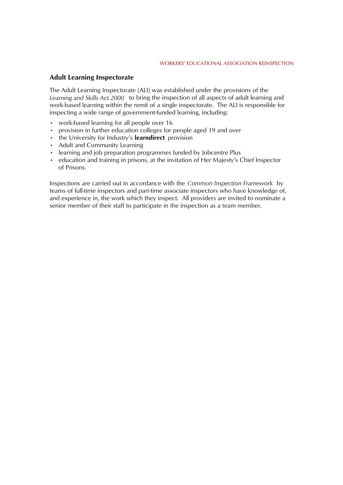# **Adult Learning Inspectorate**

The Adult Learning Inspectorate (ALI) was established under the provisions of the *Learning and Skills Act 2000* to bring the inspection of all aspects of adult learning and work-based learning within the remit of a single inspectorate. The ALI is responsible for inspecting a wide range of government-funded learning, including:

- work-based learning for all people over 16
- provision in further education colleges for people aged 19 and over
- the University for Industry's **learndirect** provision
- Adult and Community Learning
- learning and job preparation programmes funded by Jobcentre Plus
- education and training in prisons, at the invitation of Her Majesty's Chief Inspector of Prisons.

Inspections are carried out in accordance with the Common Inspection Framework by teams of full-time inspectors and part-time associate inspectors who have knowledge of, and experience in, the work which they inspect. All providers are invited to nominate a senior member of their staff to participate in the inspection as a team member.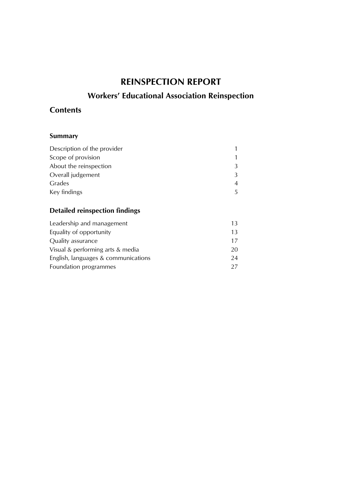# **REINSPECTION REPORT**

# **Workers' Educational Association Reinspection**

# **Contents**

# **Summary**

| Description of the provider |                |
|-----------------------------|----------------|
| Scope of provision          |                |
| About the reinspection      |                |
| Overall judgement           |                |
| Grades                      |                |
| Key findings                | $\overline{a}$ |
|                             |                |

# **Detailed reinspection findings**

| 13 |
|----|
| 13 |
| 17 |
| 20 |
| 24 |
| 27 |
|    |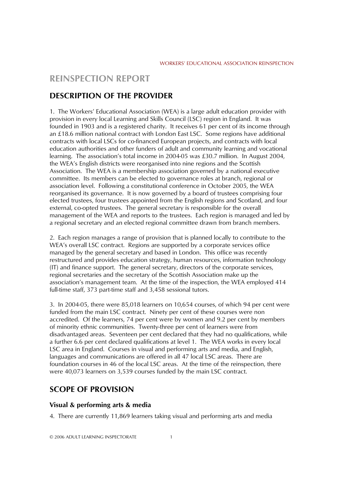# **REINSPECTION REPORT**

# **DESCRIPTION OF THE PROVIDER**

1. The Workersí Educational Association (WEA) is a large adult education provider with provision in every local Learning and Skills Council (LSC) region in England. It was founded in 1903 and is a registered charity. It receives 61 per cent of its income through an £18.6 million national contract with London East LSC. Some regions have additional contracts with local LSCs for co-financed European projects, and contracts with local education authorities and other funders of adult and community learning and vocational learning. The association's total income in 2004-05 was £30.7 million. In August 2004, the WEAís English districts were reorganised into nine regions and the Scottish Association. The WEA is a membership association governed by a national executive committee. Its members can be elected to governance roles at branch, regional or association level. Following a constitutional conference in October 2005, the WEA reorganised its governance. It is now governed by a board of trustees comprising four elected trustees, four trustees appointed from the English regions and Scotland, and four external, co-opted trustees. The general secretary is responsible for the overall management of the WEA and reports to the trustees. Each region is managed and led by a regional secretary and an elected regional committee drawn from branch members.

2. Each region manages a range of provision that is planned locally to contribute to the WEA's overall LSC contract. Regions are supported by a corporate services office managed by the general secretary and based in London. This office was recently restructured and provides education strategy, human resources, information technology (IT) and finance support. The general secretary, directors of the corporate services, regional secretaries and the secretary of the Scottish Association make up the associationís management team. At the time of the inspection, the WEA employed 414 full-time staff, 373 part-time staff and 3,458 sessional tutors.

3. In 2004-05, there were 85,018 learners on 10,654 courses, of which 94 per cent were funded from the main LSC contract. Ninety per cent of these courses were non accredited. Of the learners, 74 per cent were by women and 9.2 per cent by members of minority ethnic communities. Twenty-three per cent of learners were from disadvantaged areas. Seventeen per cent declared that they had no qualifications, while a further 6.6 per cent declared qualifications at level 1. The WEA works in every local LSC area in England. Courses in visual and performing arts and media, and English, languages and communications are offered in all 47 local LSC areas. There are foundation courses in 46 of the local LSC areas. At the time of the reinspection, there were 40,073 learners on 3,539 courses funded by the main LSC contract.

# **SCOPE OF PROVISION**

### **Visual & performing arts & media**

4. There are currently 11,869 learners taking visual and performing arts and media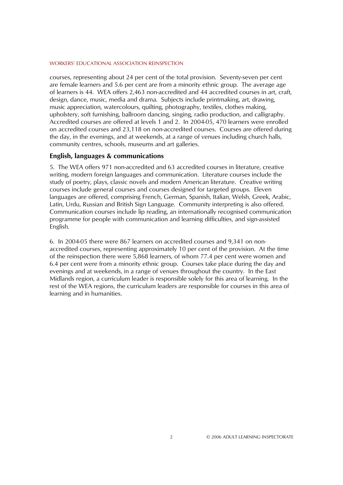courses, representing about 24 per cent of the total provision. Seventy-seven per cent are female learners and 5.6 per cent are from a minority ethnic group. The average age of learners is 44. WEA offers 2,463 non-accredited and 44 accredited courses in art, craft, design, dance, music, media and drama. Subjects include printmaking, art, drawing, music appreciation, watercolours, quilting, photography, textiles, clothes making, upholstery, soft furnishing, ballroom dancing, singing, radio production, and calligraphy. Accredited courses are offered at levels 1 and 2. In 2004-05, 470 learners were enrolled on accredited courses and 23,118 on non-accredited courses. Courses are offered during the day, in the evenings, and at weekends, at a range of venues including church halls, community centres, schools, museums and art galleries.

### **English, languages & communications**

5. The WEA offers 971 non-accredited and 63 accredited courses in literature, creative writing, modern foreign languages and communication. Literature courses include the study of poetry, plays, classic novels and modern American literature. Creative writing courses include general courses and courses designed for targeted groups. Eleven languages are offered, comprising French, German, Spanish, Italian, Welsh, Greek, Arabic, Latin, Urdu, Russian and British Sign Language. Community interpreting is also offered. Communication courses include lip reading, an internationally recognised communication programme for people with communication and learning difficulties, and sign-assisted English.

6. In 2004-05 there were 867 learners on accredited courses and 9,341 on nonaccredited courses, representing approximately 10 per cent of the provision. At the time of the reinspection there were 5,868 learners, of whom 77.4 per cent were women and 6.4 per cent were from a minority ethnic group. Courses take place during the day and evenings and at weekends, in a range of venues throughout the country. In the East Midlands region, a curriculum leader is responsible solely for this area of learning. In the rest of the WEA regions, the curriculum leaders are responsible for courses in this area of learning and in humanities.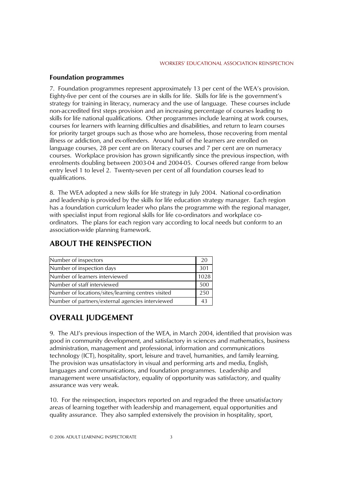# **Foundation programmes**

7. Foundation programmes represent approximately 13 per cent of the WEAís provision. Eighty-five per cent of the courses are in skills for life. Skills for life is the government's strategy for training in literacy, numeracy and the use of language. These courses include non-accredited first steps provision and an increasing percentage of courses leading to skills for life national qualifications. Other programmes include learning at work courses, courses for learners with learning difficulties and disabilities, and return to learn courses for priority target groups such as those who are homeless, those recovering from mental illness or addiction, and ex-offenders. Around half of the learners are enrolled on language courses, 28 per cent are on literacy courses and 7 per cent are on numeracy courses. Workplace provision has grown significantly since the previous inspection, with enrolments doubling between 2003-04 and 2004-05. Courses offered range from below entry level 1 to level 2. Twenty-seven per cent of all foundation courses lead to qualifications.

8. The WEA adopted a new skills for life strategy in July 2004. National co-ordination and leadership is provided by the skills for life education strategy manager. Each region has a foundation curriculum leader who plans the programme with the regional manager, with specialist input from regional skills for life co-ordinators and workplace coordinators. The plans for each region vary according to local needs but conform to an association-wide planning framework.

# **ABOUT THE REINSPECTION**

| Number of inspectors                               | 2 <sub>0</sub> |
|----------------------------------------------------|----------------|
| Number of inspection days                          | 301            |
| Number of learners interviewed                     | 1028           |
| Number of staff interviewed                        | 500            |
| Number of locations/sites/learning centres visited | 250            |
| Number of partners/external agencies interviewed   | 4 <sup>2</sup> |

# **OVERALL JUDGEMENT**

9. The ALIís previous inspection of the WEA, in March 2004, identified that provision was good in community development, and satisfactory in sciences and mathematics, business administration, management and professional, information and communications technology (ICT), hospitality, sport, leisure and travel, humanities, and family learning. The provision was unsatisfactory in visual and performing arts and media, English, languages and communications, and foundation programmes. Leadership and management were unsatisfactory, equality of opportunity was satisfactory, and quality assurance was very weak.

10. For the reinspection, inspectors reported on and regraded the three unsatisfactory areas of learning together with leadership and management, equal opportunities and quality assurance. They also sampled extensively the provision in hospitality, sport,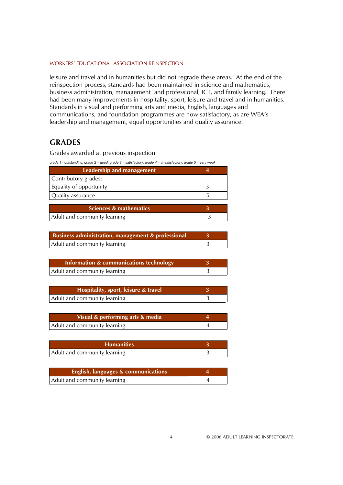leisure and travel and in humanities but did not regrade these areas. At the end of the reinspection process, standards had been maintained in science and mathematics, business administration, management and professional, ICT, and family learning. There had been many improvements in hospitality, sport, leisure and travel and in humanities. Standards in visual and performing arts and media, English, languages and communications, and foundation programmes are now satisfactory, as are WEAís leadership and management, equal opportunities and quality assurance.

# **GRADES**

Grades awarded at previous inspection

*grade 1= outstanding, grade 2 = good, grade 3 = satisfactory, grade 4 = unsatisfactory, grade 5 = very weak*

| Leadership and management |  |
|---------------------------|--|
| Contributory grades:      |  |
| Equality of opportunity   |  |
| Quality assurance         |  |
| Sciences & mathematics    |  |

| Sciences & mathematics       |  |
|------------------------------|--|
| Adult and community learning |  |
|                              |  |

| Business administration, management & professional |  |
|----------------------------------------------------|--|
| Adult and community learning                       |  |

| Information & communications technology |  |
|-----------------------------------------|--|
| Adult and community learning            |  |

| Hospitality, sport, leisure & travel |  |
|--------------------------------------|--|
| Adult and community learning         |  |

| Visual & performing arts & media |  |
|----------------------------------|--|
| Adult and community learning     |  |

| <b>Humanities</b>            |  |
|------------------------------|--|
| Adult and community learning |  |

| <b>English, languages <math>\overline{\mathbf{g}}</math> communications</b> |  |
|-----------------------------------------------------------------------------|--|
| Adult and community learning                                                |  |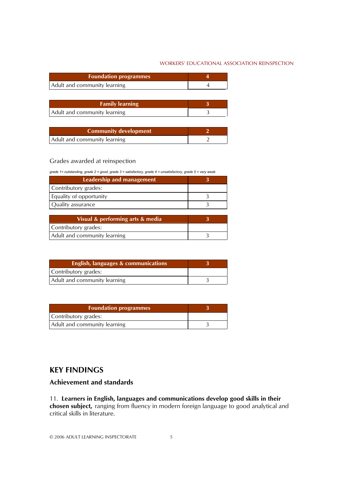| <b>Foundation programmes</b> |  |
|------------------------------|--|
| Adult and community learning |  |

| <b>Family learning</b>       |  |
|------------------------------|--|
| Adult and community learning |  |

| <b>Community development</b> |  |
|------------------------------|--|
| Adult and community learning |  |

Grades awarded at reinspection

*grade 1= outstanding, grade 2 = good, grade 3 = satisfactory, grade 4 = unsatisfactory, grade 5 = very weak*

| Leadership and management |  |
|---------------------------|--|
| Contributory grades:      |  |
| Equality of opportunity   |  |
| Quality assurance         |  |

| Visual & performing arts $\&$ media |  |
|-------------------------------------|--|
| Contributory grades:                |  |
| Adult and community learning        |  |

| <b>English, languages &amp; communications</b> |  |
|------------------------------------------------|--|
| Contributory grades:                           |  |
| Adult and community learning                   |  |

| <b>Foundation programmes</b> |  |
|------------------------------|--|
| Contributory grades:         |  |
| Adult and community learning |  |

# **KEY FINDINGS**

# **Achievement and standards**

11. **Learners in English, languages and communications develop good skills in their chosen subject,** ranging from fluency in modern foreign language to good analytical and critical skills in literature.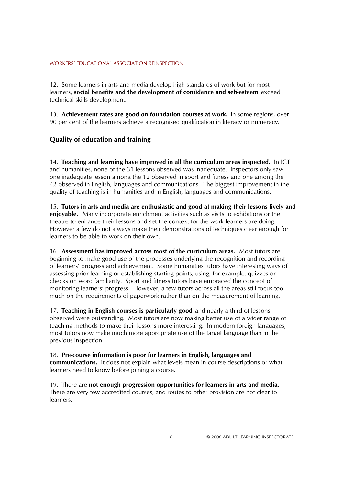12. Some learners in arts and media develop high standards of work but for most learners, **social benefits and the development of confidence and self-esteem** exceed technical skills development.

13. **Achievement rates are good on foundation courses at work.** In some regions, over 90 per cent of the learners achieve a recognised qualification in literacy or numeracy.

### **Quality of education and training**

14. **Teaching and learning have improved in all the curriculum areas inspected.** In ICT and humanities, none of the 31 lessons observed was inadequate. Inspectors only saw one inadequate lesson among the 12 observed in sport and fitness and one among the 42 observed in English, languages and communications. The biggest improvement in the quality of teaching is in humanities and in English, languages and communications.

15. **Tutors in arts and media are enthusiastic and good at making their lessons lively and enjoyable.** Many incorporate enrichment activities such as visits to exhibitions or the theatre to enhance their lessons and set the context for the work learners are doing. However a few do not always make their demonstrations of techniques clear enough for learners to be able to work on their own.

16. **Assessment has improved across most of the curriculum areas.** Most tutors are beginning to make good use of the processes underlying the recognition and recording of learnersí progress and achievement. Some humanities tutors have interesting ways of assessing prior learning or establishing starting points, using, for example, quizzes or checks on word familiarity. Sport and fitness tutors have embraced the concept of monitoring learnersí progress. However, a few tutors across all the areas still focus too much on the requirements of paperwork rather than on the measurement of learning.

17. **Teaching in English courses is particularly good** and nearly a third of lessons observed were outstanding. Most tutors are now making better use of a wider range of teaching methods to make their lessons more interesting. In modern foreign languages, most tutors now make much more appropriate use of the target language than in the previous inspection.

18. **Pre-course information is poor for learners in English, languages and communications.** It does not explain what levels mean in course descriptions or what learners need to know before joining a course.

19. There are **not enough progression opportunities for learners in arts and media.**  There are very few accredited courses, and routes to other provision are not clear to learners.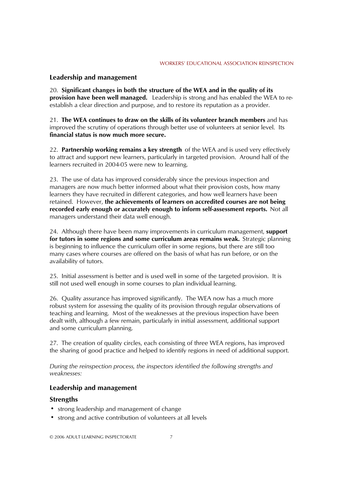### **Leadership and management**

20. **Significant changes in both the structure of the WEA and in the quality of its provision have been well managed.** Leadership is strong and has enabled the WEA to reestablish a clear direction and purpose, and to restore its reputation as a provider.

21. **The WEA continues to draw on the skills of its volunteer branch members** and has improved the scrutiny of operations through better use of volunteers at senior level. Its **financial status is now much more secure.**

22. **Partnership working remains a key strength** of the WEA and is used very effectively to attract and support new learners, particularly in targeted provision. Around half of the learners recruited in 2004-05 were new to learning.

23. The use of data has improved considerably since the previous inspection and managers are now much better informed about what their provision costs, how many learners they have recruited in different categories, and how well learners have been retained. However, **the achievements of learners on accredited courses are not being recorded early enough or accurately enough to inform self-assessment reports.** Not all managers understand their data well enough.

24. Although there have been many improvements in curriculum management, **support for tutors in some regions and some curriculum areas remains weak.** Strategic planning is beginning to influence the curriculum offer in some regions, but there are still too many cases where courses are offered on the basis of what has run before, or on the availability of tutors.

25. Initial assessment is better and is used well in some of the targeted provision. It is still not used well enough in some courses to plan individual learning.

26. Quality assurance has improved significantly. The WEA now has a much more robust system for assessing the quality of its provision through regular observations of teaching and learning. Most of the weaknesses at the previous inspection have been dealt with, although a few remain, particularly in initial assessment, additional support and some curriculum planning.

27. The creation of quality circles, each consisting of three WEA regions, has improved the sharing of good practice and helped to identify regions in need of additional support.

*During the reinspection process, the inspectors identified the following strengths and weaknesses:*

### **Leadership and management**

### **Strengths**

- strong leadership and management of change
- strong and active contribution of volunteers at all levels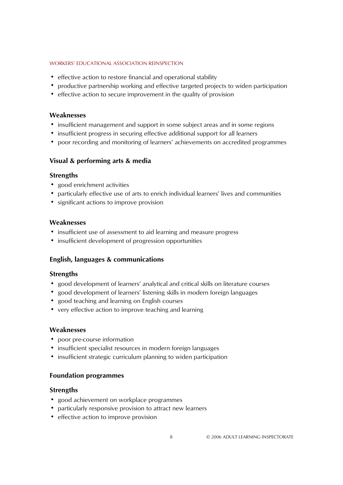- effective action to restore financial and operational stability
- ! productive partnership working and effective targeted projects to widen participation
- effective action to secure improvement in the quality of provision

### **Weaknesses**

- insufficient management and support in some subject areas and in some regions
- insufficient progress in securing effective additional support for all learners
- poor recording and monitoring of learners' achievements on accredited programmes

## **Visual & performing arts & media**

### **Strengths**

- good enrichment activities
- particularly effective use of arts to enrich individual learners' lives and communities
- significant actions to improve provision

### **Weaknesses**

- ! insufficient use of assessment to aid learning and measure progress
- insufficient development of progression opportunities

# **English, languages & communications**

## **Strengths**

- good development of learners' analytical and critical skills on literature courses
- good development of learners' listening skills in modern foreign languages
- good teaching and learning on English courses
- very effective action to improve teaching and learning

### **Weaknesses**

- poor pre-course information
- insufficient specialist resources in modern foreign languages
- insufficient strategic curriculum planning to widen participation

## **Foundation programmes**

## **Strengths**

- good achievement on workplace programmes
- ! particularly responsive provision to attract new learners
- effective action to improve provision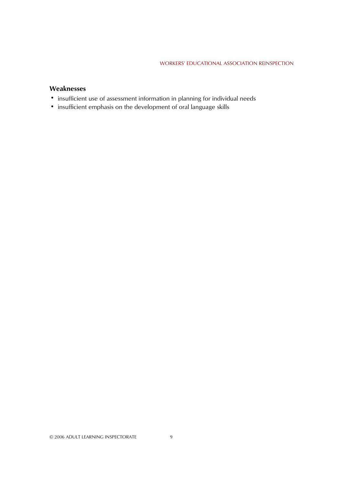# **Weaknesses**

- ! insufficient use of assessment information in planning for individual needs
- ! insufficient emphasis on the development of oral language skills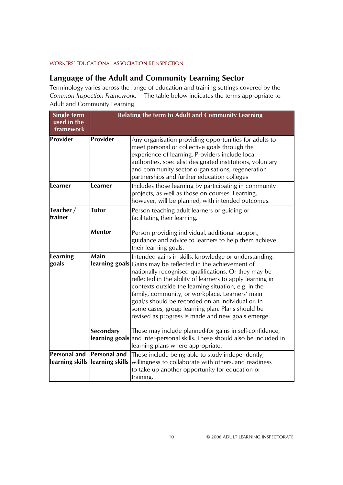# **Language of the Adult and Community Learning Sector**

Terminology varies across the range of education and training settings covered by the *Common Inspection Framework.* The table below indicates the terms appropriate to Adult and Community Learning

| <b>Single term</b>       | <b>Relating the term to Adult and Community Learning</b> |                                                                                                                                                                                                                                                                                                                                                                                                                                                                                                                           |  |
|--------------------------|----------------------------------------------------------|---------------------------------------------------------------------------------------------------------------------------------------------------------------------------------------------------------------------------------------------------------------------------------------------------------------------------------------------------------------------------------------------------------------------------------------------------------------------------------------------------------------------------|--|
| used in the              |                                                          |                                                                                                                                                                                                                                                                                                                                                                                                                                                                                                                           |  |
| framework                |                                                          |                                                                                                                                                                                                                                                                                                                                                                                                                                                                                                                           |  |
| <b>Provider</b>          | Provider                                                 | Any organisation providing opportunities for adults to<br>meet personal or collective goals through the<br>experience of learning. Providers include local<br>authorities, specialist designated institutions, voluntary<br>and community sector organisations, regeneration<br>partnerships and further education colleges                                                                                                                                                                                               |  |
| Learner                  | Learner                                                  | Includes those learning by participating in community<br>projects, as well as those on courses. Learning,<br>however, will be planned, with intended outcomes.                                                                                                                                                                                                                                                                                                                                                            |  |
| Teacher /<br>trainer     | <b>Tutor</b>                                             | Person teaching adult learners or guiding or<br>facilitating their learning.                                                                                                                                                                                                                                                                                                                                                                                                                                              |  |
|                          | <b>Mentor</b>                                            | Person providing individual, additional support,<br>guidance and advice to learners to help them achieve<br>their learning goals.                                                                                                                                                                                                                                                                                                                                                                                         |  |
| <b>Learning</b><br>goals | Main                                                     | Intended gains in skills, knowledge or understanding.<br><b>learning goals</b> Gains may be reflected in the achievement of<br>nationally recognised qualifications. Or they may be<br>reflected in the ability of learners to apply learning in<br>contexts outside the learning situation, e.g. in the<br>family, community, or workplace. Learners' main<br>goal/s should be recorded on an individual or, in<br>some cases, group learning plan. Plans should be<br>revised as progress is made and new goals emerge. |  |
|                          | <b>Secondary</b>                                         | These may include planned-for gains in self-confidence,<br><b>learning goals</b> and inter-personal skills. These should also be included in<br>learning plans where appropriate.                                                                                                                                                                                                                                                                                                                                         |  |
| <b>Personal and</b>      | <b>Personal and</b><br>learning skills llearning skills  | These include being able to study independently,<br>willingness to collaborate with others, and readiness<br>to take up another opportunity for education or<br>training.                                                                                                                                                                                                                                                                                                                                                 |  |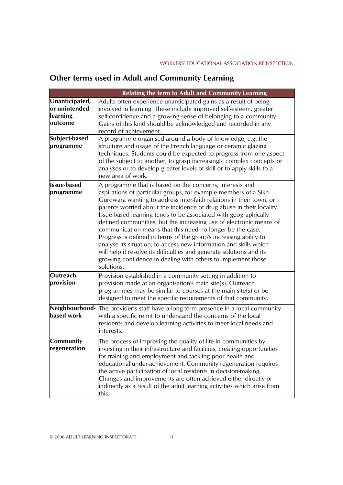# **Other terms used in Adult and Community Learning**

|                                                        | <b>Relating the term to Adult and Community Learning</b>                                                                                                                                                                                                                                                                                                                                                                                                                                                                                                                                                                                                                                                                                                                         |
|--------------------------------------------------------|----------------------------------------------------------------------------------------------------------------------------------------------------------------------------------------------------------------------------------------------------------------------------------------------------------------------------------------------------------------------------------------------------------------------------------------------------------------------------------------------------------------------------------------------------------------------------------------------------------------------------------------------------------------------------------------------------------------------------------------------------------------------------------|
| Unanticipated,<br>or unintended<br>learning<br>outcome | Adults often experience unanticipated gains as a result of being<br>involved in learning. These include improved self-esteem, greater<br>self-confidence and a growing sense of belonging to a community.<br>Gains of this kind should be acknowledged and recorded in any<br>record of achievement.                                                                                                                                                                                                                                                                                                                                                                                                                                                                             |
| Subject-based<br>programme                             | A programme organised around a body of knowledge, e.g. the<br>structure and usage of the French language or ceramic glazing<br>techniques. Students could be expected to progress from one aspect<br>of the subject to another, to grasp increasingly complex concepts or<br>analyses or to develop greater levels of skill or to apply skills to a<br>new area of work.                                                                                                                                                                                                                                                                                                                                                                                                         |
| <b>Issue-based</b><br>programme                        | A programme that is based on the concerns, interests and<br>aspirations of particular groups, for example members of a Sikh<br>Gurdwara wanting to address inter-faith relations in their town, or<br>parents worried about the incidence of drug abuse in their locality.<br>Issue-based learning tends to be associated with geographically<br>defined communities, but the increasing use of electronic means of<br>communication means that this need no longer be the case.<br>Progress is defined in terms of the group's increasing ability to<br>analyse its situation, to access new information and skills which<br>will help it resolve its difficulties and generate solutions and its<br>growing confidence in dealing with others to implement those<br>solutions. |
| <b>Outreach</b><br>provision                           | Provision established in a community setting in addition to<br>provision made at an organisation's main site(s). Outreach<br>programmes may be similar to courses at the main site(s) or be<br>designed to meet the specific requirements of that community.                                                                                                                                                                                                                                                                                                                                                                                                                                                                                                                     |
| based work                                             | Neighbourhood- The provider's staff have a long-term presence in a local community<br>with a specific remit to understand the concerns of the local<br>residents and develop learning activities to meet local needs and<br>interests.                                                                                                                                                                                                                                                                                                                                                                                                                                                                                                                                           |
| <b>Community</b><br>regeneration                       | The process of improving the quality of life in communities by<br>investing in their infrastructure and facilities, creating opportunities<br>for training and employment and tackling poor health and<br>educational under-achievement. Community regeneration requires<br>the active participation of local residents in decision-making.<br>Changes and improvements are often achieved either directly or<br>indirectly as a result of the adult learning activities which arise from<br>this.                                                                                                                                                                                                                                                                               |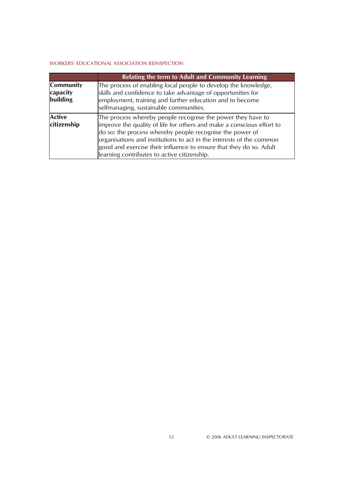|                                   | <b>Relating the term to Adult and Community Learning</b>                                                                                                                                                                                                                                                                                                                                      |
|-----------------------------------|-----------------------------------------------------------------------------------------------------------------------------------------------------------------------------------------------------------------------------------------------------------------------------------------------------------------------------------------------------------------------------------------------|
| Community<br>capacity<br>building | The process of enabling local people to develop the knowledge,<br>skills and confidence to take advantage of opportunities for<br>employment, training and further education and to become<br>selfmanaging, sustainable communities.                                                                                                                                                          |
| <b>Active</b><br>citizenship      | The process whereby people recognise the power they have to<br>improve the quality of life for others and make a conscious effort to<br>do so: the process whereby people recognise the power of<br>organisations and institutions to act in the interests of the common<br>good and exercise their influence to ensure that they do so. Adult<br>learning contributes to active citizenship. |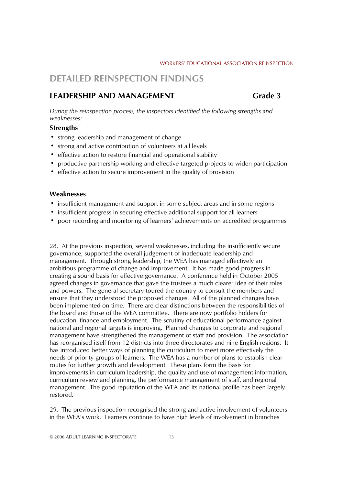# **DETAILED REINSPECTION FINDINGS**

# **LEADERSHIP AND MANAGEMENT Grade 3**

*During the reinspection process, the inspectors identified the following strengths and weaknesses:*

# **Strengths**

- ! strong leadership and management of change
- ! strong and active contribution of volunteers at all levels
- ! effective action to restore financial and operational stability
- ! productive partnership working and effective targeted projects to widen participation
- effective action to secure improvement in the quality of provision

### **Weaknesses**

- insufficient management and support in some subject areas and in some regions
- ! insufficient progress in securing effective additional support for all learners
- poor recording and monitoring of learners' achievements on accredited programmes

28. At the previous inspection, several weaknesses, including the insufficiently secure governance, supported the overall judgement of inadequate leadership and management. Through strong leadership, the WEA has managed effectively an ambitious programme of change and improvement. It has made good progress in creating a sound basis for effective governance. A conference held in October 2005 agreed changes in governance that gave the trustees a much clearer idea of their roles and powers. The general secretary toured the country to consult the members and ensure that they understood the proposed changes. All of the planned changes have been implemented on time. There are clear distinctions between the responsibilities of the board and those of the WEA committee. There are now portfolio holders for education, finance and employment. The scrutiny of educational performance against national and regional targets is improving. Planned changes to corporate and regional management have strengthened the management of staff and provision. The association has reorganised itself from 12 districts into three directorates and nine English regions. It has introduced better ways of planning the curriculum to meet more effectively the needs of priority groups of learners. The WEA has a number of plans to establish clear routes for further growth and development. These plans form the basis for improvements in curriculum leadership, the quality and use of management information, curriculum review and planning, the performance management of staff, and regional management. The good reputation of the WEA and its national profile has been largely restored.

29. The previous inspection recognised the strong and active involvement of volunteers in the WEAís work. Learners continue to have high levels of involvement in branches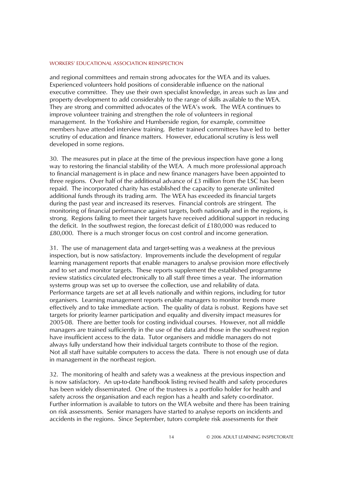and regional committees and remain strong advocates for the WEA and its values. Experienced volunteers hold positions of considerable influence on the national executive committee. They use their own specialist knowledge, in areas such as law and property development to add considerably to the range of skills available to the WEA. They are strong and committed advocates of the WEA's work. The WEA continues to improve volunteer training and strengthen the role of volunteers in regional management. In the Yorkshire and Humberside region, for example, committee members have attended interview training. Better trained committees have led to better scrutiny of education and finance matters. However, educational scrutiny is less well developed in some regions.

30. The measures put in place at the time of the previous inspection have gone a long way to restoring the financial stability of the WEA. A much more professional approach to financial management is in place and new finance managers have been appointed to three regions. Over half of the additional advance of £3 million from the LSC has been repaid. The incorporated charity has established the capacity to generate unlimited additional funds through its trading arm. The WEA has exceeded its financial targets during the past year and increased its reserves. Financial controls are stringent. The monitoring of financial performance against targets, both nationally and in the regions, is strong. Regions failing to meet their targets have received additional support in reducing the deficit. In the southwest region, the forecast deficit of £180,000 was reduced to £80,000. There is a much stronger focus on cost control and income generation.

31. The use of management data and target-setting was a weakness at the previous inspection, but is now satisfactory. Improvements include the development of regular learning management reports that enable managers to analyse provision more effectively and to set and monitor targets. These reports supplement the established programme review statistics circulated electronically to all staff three times a year. The information systems group was set up to oversee the collection, use and reliability of data. Performance targets are set at all levels nationally and within regions, including for tutor organisers. Learning management reports enable managers to monitor trends more effectively and to take immediate action. The quality of data is robust. Regions have set targets for priority learner participation and equality and diversity impact measures for 2005-08. There are better tools for costing individual courses. However, not all middle managers are trained sufficiently in the use of the data and those in the southwest region have insufficient access to the data. Tutor organisers and middle managers do not always fully understand how their individual targets contribute to those of the region. Not all staff have suitable computers to access the data. There is not enough use of data in management in the northeast region.

32. The monitoring of health and safety was a weakness at the previous inspection and is now satisfactory. An up-to-date handbook listing revised health and safety procedures has been widely disseminated. One of the trustees is a portfolio holder for health and safety across the organisation and each region has a health and safety co-ordinator. Further information is available to tutors on the WEA website and there has been training on risk assessments. Senior managers have started to analyse reports on incidents and accidents in the regions. Since September, tutors complete risk assessments for their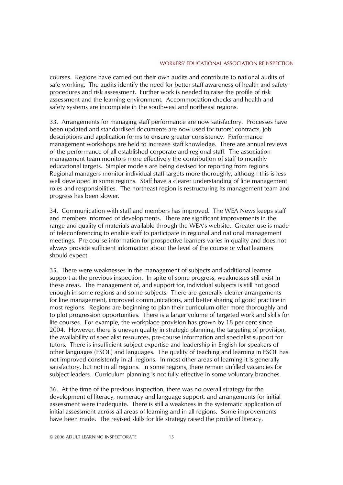courses. Regions have carried out their own audits and contribute to national audits of safe working. The audits identify the need for better staff awareness of health and safety procedures and risk assessment. Further work is needed to raise the profile of risk assessment and the learning environment. Accommodation checks and health and safety systems are incomplete in the southwest and northeast regions.

33. Arrangements for managing staff performance are now satisfactory. Processes have been updated and standardised documents are now used for tutors' contracts, job descriptions and application forms to ensure greater consistency. Performance management workshops are held to increase staff knowledge. There are annual reviews of the performance of all established corporate and regional staff. The association management team monitors more effectively the contribution of staff to monthly educational targets. Simpler models are being devised for reporting from regions. Regional managers monitor individual staff targets more thoroughly, although this is less well developed in some regions. Staff have a clearer understanding of line management roles and responsibilities. The northeast region is restructuring its management team and progress has been slower.

34. Communication with staff and members has improved. The WEA News keeps staff and members informed of developments. There are significant improvements in the range and quality of materials available through the WEA's website. Greater use is made of teleconferencing to enable staff to participate in regional and national management meetings. Pre-course information for prospective learners varies in quality and does not always provide sufficient information about the level of the course or what learners should expect.

35. There were weaknesses in the management of subjects and additional learner support at the previous inspection. In spite of some progress, weaknesses still exist in these areas. The management of, and support for, individual subjects is still not good enough in some regions and some subjects. There are generally clearer arrangements for line management, improved communications, and better sharing of good practice in most regions. Regions are beginning to plan their curriculum offer more thoroughly and to plot progression opportunities. There is a larger volume of targeted work and skills for life courses. For example, the workplace provision has grown by 18 per cent since 2004. However, there is uneven quality in strategic planning, the targeting of provision, the availability of specialist resources, pre-course information and specialist support for tutors. There is insufficient subject expertise and leadership in English for speakers of other languages (ESOL) and languages. The quality of teaching and learning in ESOL has not improved consistently in all regions. In most other areas of learning it is generally satisfactory, but not in all regions. In some regions, there remain unfilled vacancies for subject leaders. Curriculum planning is not fully effective in some voluntary branches.

36. At the time of the previous inspection, there was no overall strategy for the development of literacy, numeracy and language support, and arrangements for initial assessment were inadequate. There is still a weakness in the systematic application of initial assessment across all areas of learning and in all regions. Some improvements have been made. The revised skills for life strategy raised the profile of literacy,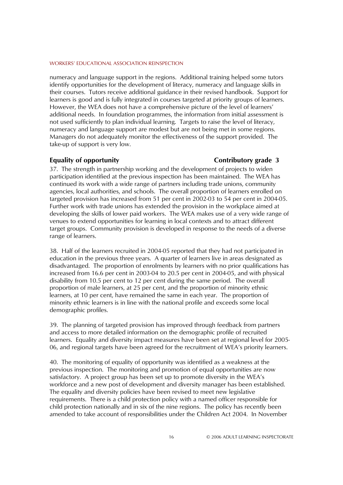numeracy and language support in the regions. Additional training helped some tutors identify opportunities for the development of literacy, numeracy and language skills in their courses. Tutors receive additional guidance in their revised handbook. Support for learners is good and is fully integrated in courses targeted at priority groups of learners. However, the WEA does not have a comprehensive picture of the level of learnersí additional needs. In foundation programmes, the information from initial assessment is not used sufficiently to plan individual learning. Targets to raise the level of literacy, numeracy and language support are modest but are not being met in some regions. Managers do not adequately monitor the effectiveness of the support provided. The take-up of support is very low.

### **Equality of opportunity** Contributory grade 3

37. The strength in partnership working and the development of projects to widen participation identified at the previous inspection has been maintained. The WEA has continued its work with a wide range of partners including trade unions, community agencies, local authorities, and schools. The overall proportion of learners enrolled on targeted provision has increased from 51 per cent in 2002-03 to 54 per cent in 2004-05. Further work with trade unions has extended the provision in the workplace aimed at developing the skills of lower paid workers. The WEA makes use of a very wide range of venues to extend opportunities for learning in local contexts and to attract different target groups. Community provision is developed in response to the needs of a diverse range of learners.

38. Half of the learners recruited in 2004-05 reported that they had not participated in education in the previous three years. A quarter of learners live in areas designated as disadvantaged. The proportion of enrolments by learners with no prior qualifications has increased from 16.6 per cent in 2003-04 to 20.5 per cent in 2004-05, and with physical disability from 10.5 per cent to 12 per cent during the same period. The overall proportion of male learners, at 25 per cent, and the proportion of minority ethnic learners, at 10 per cent, have remained the same in each year. The proportion of minority ethnic learners is in line with the national profile and exceeds some local demographic profiles.

39. The planning of targeted provision has improved through feedback from partners and access to more detailed information on the demographic profile of recruited learners. Equality and diversity impact measures have been set at regional level for 2005- 06, and regional targets have been agreed for the recruitment of WEAís priority learners.

40. The monitoring of equality of opportunity was identified as a weakness at the previous inspection. The monitoring and promotion of equal opportunities are now satisfactory. A project group has been set up to promote diversity in the WEA's workforce and a new post of development and diversity manager has been established. The equality and diversity policies have been revised to meet new legislative requirements. There is a child protection policy with a named officer responsible for child protection nationally and in six of the nine regions. The policy has recently been amended to take account of responsibilities under the Children Act 2004. In November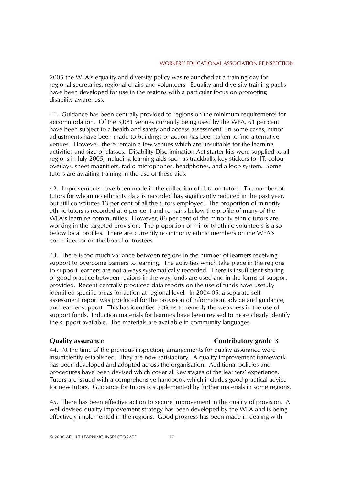2005 the WEAís equality and diversity policy was relaunched at a training day for regional secretaries, regional chairs and volunteers. Equality and diversity training packs have been developed for use in the regions with a particular focus on promoting disability awareness.

41. Guidance has been centrally provided to regions on the minimum requirements for accommodation. Of the 3,081 venues currently being used by the WEA, 61 per cent have been subject to a health and safety and access assessment. In some cases, minor adjustments have been made to buildings or action has been taken to find alternative venues. However, there remain a few venues which are unsuitable for the learning activities and size of classes. Disability Discrimination Act starter kits were supplied to all regions in July 2005, including learning aids such as trackballs, key stickers for IT, colour overlays, sheet magnifiers, radio microphones, headphones, and a loop system. Some tutors are awaiting training in the use of these aids.

42. Improvements have been made in the collection of data on tutors. The number of tutors for whom no ethnicity data is recorded has significantly reduced in the past year, but still constitutes 13 per cent of all the tutors employed. The proportion of minority ethnic tutors is recorded at 6 per cent and remains below the profile of many of the WEA's learning communities. However, 86 per cent of the minority ethnic tutors are working in the targeted provision. The proportion of minority ethnic volunteers is also below local profiles. There are currently no minority ethnic members on the WEA's committee or on the board of trustees

43. There is too much variance between regions in the number of learners receiving support to overcome barriers to learning. The activities which take place in the regions to support learners are not always systematically recorded. There is insufficient sharing of good practice between regions in the way funds are used and in the forms of support provided. Recent centrally produced data reports on the use of funds have usefully identified specific areas for action at regional level. In 2004-05, a separate selfassessment report was produced for the provision of information, advice and guidance, and learner support. This has identified actions to remedy the weakness in the use of support funds. Induction materials for learners have been revised to more clearly identify the support available. The materials are available in community languages.

### **Quality assurance** Contributory grade 3

44. At the time of the previous inspection, arrangements for quality assurance were insufficiently established. They are now satisfactory. A quality improvement framework has been developed and adopted across the organisation. Additional policies and procedures have been devised which cover all key stages of the learners' experience. Tutors are issued with a comprehensive handbook which includes good practical advice for new tutors. Guidance for tutors is supplemented by further materials in some regions.

45. There has been effective action to secure improvement in the quality of provision. A well-devised quality improvement strategy has been developed by the WEA and is being effectively implemented in the regions. Good progress has been made in dealing with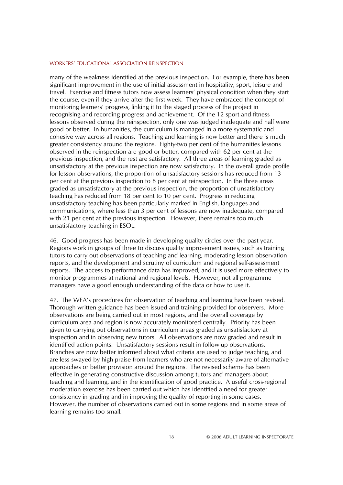many of the weakness identified at the previous inspection. For example, there has been significant improvement in the use of initial assessment in hospitality, sport, leisure and travel. Exercise and fitness tutors now assess learnersí physical condition when they start the course, even if they arrive after the first week. They have embraced the concept of monitoring learnersí progress, linking it to the staged process of the project in recognising and recording progress and achievement. Of the 12 sport and fitness lessons observed during the reinspection, only one was judged inadequate and half were good or better. In humanities, the curriculum is managed in a more systematic and cohesive way across all regions. Teaching and learning is now better and there is much greater consistency around the regions. Eighty-two per cent of the humanities lessons observed in the reinspection are good or better, compared with 62 per cent at the previous inspection, and the rest are satisfactory. All three areas of learning graded as unsatisfactory at the previous inspection are now satisfactory. In the overall grade profile for lesson observations, the proportion of unsatisfactory sessions has reduced from 13 per cent at the previous inspection to 8 per cent at reinspection. In the three areas graded as unsatisfactory at the previous inspection, the proportion of unsatisfactory teaching has reduced from 18 per cent to 10 per cent. Progress in reducing unsatisfactory teaching has been particularly marked in English, languages and communications, where less than 3 per cent of lessons are now inadequate, compared with 21 per cent at the previous inspection. However, there remains too much unsatisfactory teaching in ESOL.

46. Good progress has been made in developing quality circles over the past year. Regions work in groups of three to discuss quality improvement issues, such as training tutors to carry out observations of teaching and learning, moderating lesson observation reports, and the development and scrutiny of curriculum and regional self-assessment reports. The access to performance data has improved, and it is used more effectively to monitor programmes at national and regional levels. However, not all programme managers have a good enough understanding of the data or how to use it.

47. The WEAís procedures for observation of teaching and learning have been revised. Thorough written guidance has been issued and training provided for observers. More observations are being carried out in most regions, and the overall coverage by curriculum area and region is now accurately monitored centrally. Priority has been given to carrying out observations in curriculum areas graded as unsatisfactory at inspection and in observing new tutors. All observations are now graded and result in identified action points. Unsatisfactory sessions result in follow-up observations. Branches are now better informed about what criteria are used to judge teaching, and are less swayed by high praise from learners who are not necessarily aware of alternative approaches or better provision around the regions. The revised scheme has been effective in generating constructive discussion among tutors and managers about teaching and learning, and in the identification of good practice. A useful cross-regional moderation exercise has been carried out which has identified a need for greater consistency in grading and in improving the quality of reporting in some cases. However, the number of observations carried out in some regions and in some areas of learning remains too small.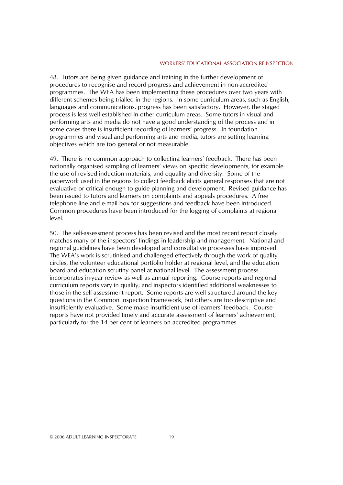48. Tutors are being given guidance and training in the further development of procedures to recognise and record progress and achievement in non-accredited programmes. The WEA has been implementing these procedures over two years with different schemes being trialled in the regions. In some curriculum areas, such as English, languages and communications, progress has been satisfactory. However, the staged process is less well established in other curriculum areas. Some tutors in visual and performing arts and media do not have a good understanding of the process and in some cases there is insufficient recording of learners' progress. In foundation programmes and visual and performing arts and media, tutors are setting learning objectives which are too general or not measurable.

49. There is no common approach to collecting learners' feedback. There has been nationally organised sampling of learnersí views on specific developments, for example the use of revised induction materials, and equality and diversity. Some of the paperwork used in the regions to collect feedback elicits general responses that are not evaluative or critical enough to guide planning and development. Revised guidance has been issued to tutors and learners on complaints and appeals procedures. A free telephone line and e-mail box for suggestions and feedback have been introduced. Common procedures have been introduced for the logging of complaints at regional level.

50. The self-assessment process has been revised and the most recent report closely matches many of the inspectors' findings in leadership and management. National and regional guidelines have been developed and consultative processes have improved. The WEAís work is scrutinised and challenged effectively through the work of quality circles, the volunteer educational portfolio holder at regional level, and the education board and education scrutiny panel at national level. The assessment process incorporates in-year review as well as annual reporting. Course reports and regional curriculum reports vary in quality, and inspectors identified additional weaknesses to those in the self-assessment report. Some reports are well structured around the key questions in the Common Inspection Framework, but others are too descriptive and insufficiently evaluative. Some make insufficient use of learners' feedback. Course reports have not provided timely and accurate assessment of learners' achievement, particularly for the 14 per cent of learners on accredited programmes.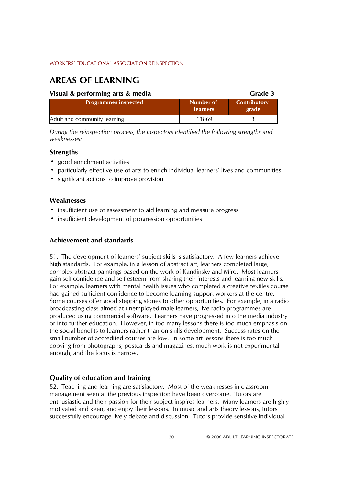# **AREAS OF LEARNING**

| Visual & performing arts & media<br>Grade 3 |                              |                              |
|---------------------------------------------|------------------------------|------------------------------|
| <b>Programmes inspected</b>                 | Number of<br><b>learners</b> | <b>Contributory</b><br>grade |
| Adult and community learning                | 11869                        |                              |

*During the reinspection process, the inspectors identified the following strengths and weaknesses:*

### **Strengths**

- good enrichment activities
- particularly effective use of arts to enrich individual learners' lives and communities
- significant actions to improve provision

### **Weaknesses**

- insufficient use of assessment to aid learning and measure progress
- ! insufficient development of progression opportunities

### **Achievement and standards**

51. The development of learnersí subject skills is satisfactory. A few learners achieve high standards. For example, in a lesson of abstract art, learners completed large, complex abstract paintings based on the work of Kandinsky and Miro. Most learners gain self-confidence and self-esteem from sharing their interests and learning new skills. For example, learners with mental health issues who completed a creative textiles course had gained sufficient confidence to become learning support workers at the centre. Some courses offer good stepping stones to other opportunities. For example, in a radio broadcasting class aimed at unemployed male learners, live radio programmes are produced using commercial software. Learners have progressed into the media industry or into further education. However, in too many lessons there is too much emphasis on the social benefits to learners rather than on skills development. Success rates on the small number of accredited courses are low. In some art lessons there is too much copying from photographs, postcards and magazines, much work is not experimental enough, and the focus is narrow.

## **Quality of education and training**

52. Teaching and learning are satisfactory. Most of the weaknesses in classroom management seen at the previous inspection have been overcome. Tutors are enthusiastic and their passion for their subject inspires learners. Many learners are highly motivated and keen, and enjoy their lessons. In music and arts theory lessons, tutors successfully encourage lively debate and discussion. Tutors provide sensitive individual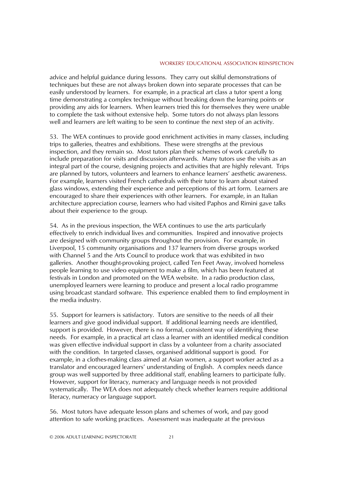advice and helpful guidance during lessons. They carry out skilful demonstrations of techniques but these are not always broken down into separate processes that can be easily understood by learners. For example, in a practical art class a tutor spent a long time demonstrating a complex technique without breaking down the learning points or providing any aids for learners. When learners tried this for themselves they were unable to complete the task without extensive help. Some tutors do not always plan lessons well and learners are left waiting to be seen to continue the next step of an activity.

53. The WEA continues to provide good enrichment activities in many classes, including trips to galleries, theatres and exhibitions. These were strengths at the previous inspection, and they remain so. Most tutors plan their schemes of work carefully to include preparation for visits and discussion afterwards. Many tutors use the visits as an integral part of the course, designing projects and activities that are highly relevant. Trips are planned by tutors, volunteers and learners to enhance learnersí aesthetic awareness. For example, learners visited French cathedrals with their tutor to learn about stained glass windows, extending their experience and perceptions of this art form. Learners are encouraged to share their experiences with other learners. For example, in an Italian architecture appreciation course, learners who had visited Paphos and Rimini gave talks about their experience to the group.

54. As in the previous inspection, the WEA continues to use the arts particularly effectively to enrich individual lives and communities. Inspired and innovative projects are designed with community groups throughout the provision. For example, in Liverpool, 15 community organisations and 137 learners from diverse groups worked with Channel 5 and the Arts Council to produce work that was exhibited in two galleries. Another thought-provoking project, called Ten Feet Away, involved homeless people learning to use video equipment to make a film, which has been featured at festivals in London and promoted on the WEA website. In a radio production class, unemployed learners were learning to produce and present a local radio programme using broadcast standard software. This experience enabled them to find employment in the media industry.

55. Support for learners is satisfactory. Tutors are sensitive to the needs of all their learners and give good individual support. If additional learning needs are identified, support is provided. However, there is no formal, consistent way of identifying these needs. For example, in a practical art class a learner with an identified medical condition was given effective individual support in class by a volunteer from a charity associated with the condition. In targeted classes, organised additional support is good. For example, in a clothes-making class aimed at Asian women, a support worker acted as a translator and encouraged learnersí understanding of English. A complex needs dance group was well supported by three additional staff, enabling learners to participate fully. However, support for literacy, numeracy and language needs is not provided systematically. The WEA does not adequately check whether learners require additional literacy, numeracy or language support.

56. Most tutors have adequate lesson plans and schemes of work, and pay good attention to safe working practices. Assessment was inadequate at the previous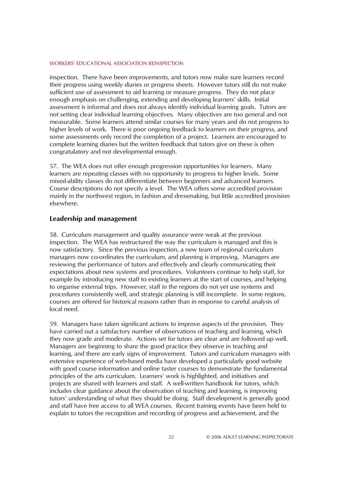inspection. There have been improvements, and tutors now make sure learners record their progress using weekly diaries or progress sheets. However tutors still do not make sufficient use of assessment to aid learning or measure progress. They do not place enough emphasis on challenging, extending and developing learnersí skills. Initial assessment is informal and does not always identify individual learning goals. Tutors are not setting clear individual learning objectives. Many objectives are too general and not measurable. Some learners attend similar courses for many years and do not progress to higher levels of work. There is poor ongoing feedback to learners on their progress, and some assessments only record the completion of a project. Learners are encouraged to complete learning diaries but the written feedback that tutors give on these is often congratulatory and not developmental enough.

57. The WEA does not offer enough progression opportunities for learners. Many learners are repeating classes with no opportunity to progress to higher levels. Some mixed-ability classes do not differentiate between beginners and advanced learners. Course descriptions do not specify a level. The WEA offers some accredited provision mainly in the northwest region, in fashion and dressmaking, but little accredited provision elsewhere.

### **Leadership and management**

58. Curriculum management and quality assurance were weak at the previous inspection. The WEA has restructured the way the curriculum is managed and this is now satisfactory. Since the previous inspection, a new team of regional curriculum managers now co-ordinates the curriculum, and planning is improving. Managers are reviewing the performance of tutors and effectively and clearly communicating their expectations about new systems and procedures. Volunteers continue to help staff, for example by introducing new staff to existing learners at the start of courses, and helping to organise external trips. However, staff in the regions do not yet use systems and procedures consistently well, and strategic planning is still incomplete. In some regions, courses are offered for historical reasons rather than in response to careful analysis of local need.

59. Managers have taken significant actions to improve aspects of the provision. They have carried out a satisfactory number of observations of teaching and learning, which they now grade and moderate. Actions set for tutors are clear and are followed up well. Managers are beginning to share the good practice they observe in teaching and learning, and there are early signs of improvement. Tutors and curriculum managers with extensive experience of web-based media have developed a particularly good website with good course information and online taster courses to demonstrate the fundamental principles of the arts curriculum. Learners' work is highlighted, and initiatives and projects are shared with learners and staff. A well-written handbook for tutors, which includes clear guidance about the observation of teaching and learning, is improving tutors' understanding of what they should be doing. Staff development is generally good and staff have free access to all WEA courses. Recent training events have been held to explain to tutors the recognition and recording of progress and achievement, and the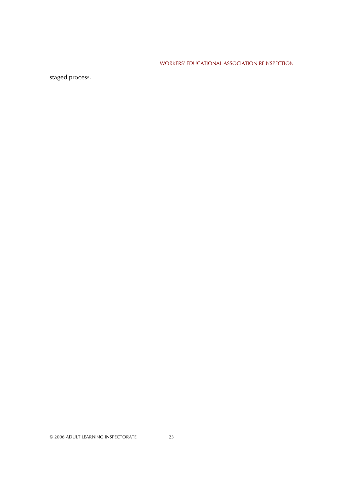staged process.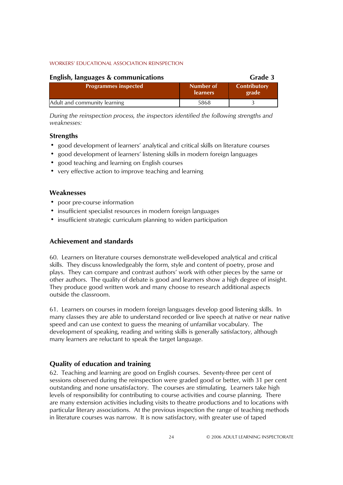| English, languages & communications<br>Grade 3 |                              |                              |
|------------------------------------------------|------------------------------|------------------------------|
| <b>Programmes inspected</b>                    | Number of<br><b>learners</b> | <b>Contributory</b><br>grade |
| Adult and community learning                   | 5868                         |                              |

*During the reinspection process, the inspectors identified the following strengths and weaknesses:*

### **Strengths**

- good development of learners' analytical and critical skills on literature courses
- good development of learners' listening skills in modern foreign languages
- good teaching and learning on English courses
- ! very effective action to improve teaching and learning

### **Weaknesses**

- poor pre-course information
- insufficient specialist resources in modern foreign languages
- insufficient strategic curriculum planning to widen participation

# **Achievement and standards**

60. Learners on literature courses demonstrate well-developed analytical and critical skills. They discuss knowledgeably the form, style and content of poetry, prose and plays. They can compare and contrast authors' work with other pieces by the same or other authors. The quality of debate is good and learners show a high degree of insight. They produce good written work and many choose to research additional aspects outside the classroom.

61. Learners on courses in modern foreign languages develop good listening skills. In many classes they are able to understand recorded or live speech at native or near native speed and can use context to guess the meaning of unfamiliar vocabulary. The development of speaking, reading and writing skills is generally satisfactory, although many learners are reluctant to speak the target language.

# **Quality of education and training**

62. Teaching and learning are good on English courses. Seventy-three per cent of sessions observed during the reinspection were graded good or better, with 31 per cent outstanding and none unsatisfactory. The courses are stimulating. Learners take high levels of responsibility for contributing to course activities and course planning. There are many extension activities including visits to theatre productions and to locations with particular literary associations. At the previous inspection the range of teaching methods in literature courses was narrow. It is now satisfactory, with greater use of taped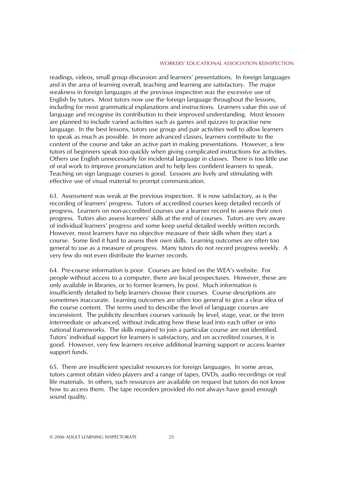readings, videos, small group discussion and learnersí presentations. In foreign languages and in the area of learning overall, teaching and learning are satisfactory. The major weakness in foreign languages at the previous inspection was the excessive use of English by tutors. Most tutors now use the foreign language throughout the lessons, including for most grammatical explanations and instructions. Learners value this use of language and recognise its contribution to their improved understanding. Most lessons are planned to include varied activities such as games and quizzes to practise new language. In the best lessons, tutors use group and pair activities well to allow learners to speak as much as possible. In more advanced classes, learners contribute to the content of the course and take an active part in making presentations. However, a few tutors of beginners speak too quickly when giving complicated instructions for activities. Others use English unnecessarily for incidental language in classes. There is too little use of oral work to improve pronunciation and to help less confident learners to speak. Teaching on sign language courses is good. Lessons are lively and stimulating with effective use of visual material to prompt communication.

63. Assessment was weak at the previous inspection. It is now satisfactory, as is the recording of learnersí progress. Tutors of accredited courses keep detailed records of progress. Learners on non-accredited courses use a learner record to assess their own progress. Tutors also assess learnersí skills at the end of courses. Tutors are very aware of individual learnersí progress and some keep useful detailed weekly written records. However, most learners have no objective measure of their skills when they start a course. Some find it hard to assess their own skills. Learning outcomes are often too general to use as a measure of progress. Many tutors do not record progress weekly. A very few do not even distribute the learner records.

64. Pre-course information is poor. Courses are listed on the WEAís website. For people without access to a computer, there are local prospectuses. However, these are only available in libraries, or to former learners, by post. Much information is insufficiently detailed to help learners choose their courses. Course descriptions are sometimes inaccurate. Learning outcomes are often too general to give a clear idea of the course content. The terms used to describe the level of language courses are inconsistent. The publicity describes courses variously by level, stage, year, or the term intermediate or advanced, without indicating how these lead into each other or into national frameworks. The skills required to join a particular course are not identified. Tutors' individual support for learners is satisfactory, and on accredited courses, it is good. However, very few learners receive additional learning support or access learner support funds.

65. There are insufficient specialist resources for foreign languages. In some areas, tutors cannot obtain video players and a range of tapes, DVDs, audio recordings or real life materials. In others, such resources are available on request but tutors do not know how to access them. The tape recorders provided do not always have good enough sound quality.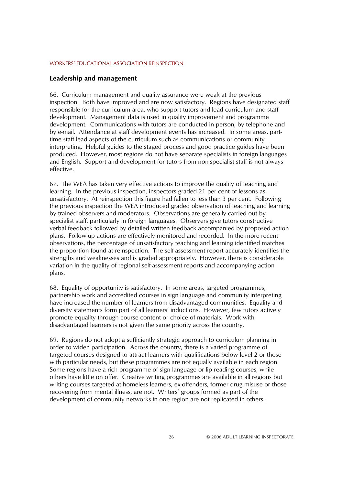### **Leadership and management**

66. Curriculum management and quality assurance were weak at the previous inspection. Both have improved and are now satisfactory. Regions have designated staff responsible for the curriculum area, who support tutors and lead curriculum and staff development. Management data is used in quality improvement and programme development. Communications with tutors are conducted in person, by telephone and by e-mail. Attendance at staff development events has increased. In some areas, parttime staff lead aspects of the curriculum such as communications or community interpreting. Helpful guides to the staged process and good practice guides have been produced. However, most regions do not have separate specialists in foreign languages and English. Support and development for tutors from non-specialist staff is not always effective.

67. The WEA has taken very effective actions to improve the quality of teaching and learning. In the previous inspection, inspectors graded 21 per cent of lessons as unsatisfactory. At reinspection this figure had fallen to less than 3 per cent. Following the previous inspection the WEA introduced graded observation of teaching and learning by trained observers and moderators. Observations are generally carried out by specialist staff, particularly in foreign languages. Observers give tutors constructive verbal feedback followed by detailed written feedback accompanied by proposed action plans. Follow-up actions are effectively monitored and recorded. In the more recent observations, the percentage of unsatisfactory teaching and learning identified matches the proportion found at reinspection. The self-assessment report accurately identifies the strengths and weaknesses and is graded appropriately. However, there is considerable variation in the quality of regional self-assessment reports and accompanying action plans.

68. Equality of opportunity is satisfactory. In some areas, targeted programmes, partnership work and accredited courses in sign language and community interpreting have increased the number of learners from disadvantaged communities. Equality and diversity statements form part of all learnersí inductions. However, few tutors actively promote equality through course content or choice of materials. Work with disadvantaged learners is not given the same priority across the country.

69. Regions do not adopt a sufficiently strategic approach to curriculum planning in order to widen participation. Across the country, there is a varied programme of targeted courses designed to attract learners with qualifications below level 2 or those with particular needs, but these programmes are not equally available in each region. Some regions have a rich programme of sign language or lip reading courses, while others have little on offer. Creative writing programmes are available in all regions but writing courses targeted at homeless learners, ex-offenders, former drug misuse or those recovering from mental illness, are not. Writers' groups formed as part of the development of community networks in one region are not replicated in others.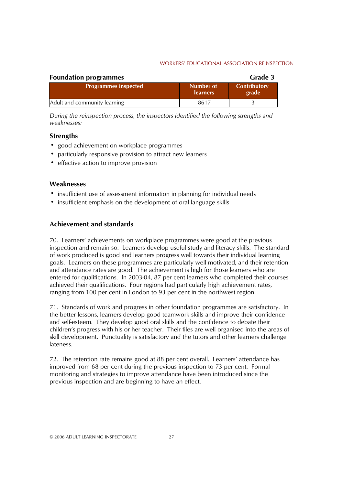| <b>Foundation programmes</b> |                              | Grade 3                      |
|------------------------------|------------------------------|------------------------------|
| <b>Programmes inspected</b>  | Number of<br><b>learners</b> | <b>Contributory</b><br>grade |
| Adult and community learning | 8617                         |                              |

*During the reinspection process, the inspectors identified the following strengths and weaknesses:*

### **Strengths**

- ! good achievement on workplace programmes
- ! particularly responsive provision to attract new learners
- effective action to improve provision

### **Weaknesses**

- ! insufficient use of assessment information in planning for individual needs
- insufficient emphasis on the development of oral language skills

## **Achievement and standards**

70. Learnersí achievements on workplace programmes were good at the previous inspection and remain so. Learners develop useful study and literacy skills. The standard of work produced is good and learners progress well towards their individual learning goals. Learners on these programmes are particularly well motivated, and their retention and attendance rates are good. The achievement is high for those learners who are entered for qualifications. In 2003-04, 87 per cent learners who completed their courses achieved their qualifications. Four regions had particularly high achievement rates, ranging from 100 per cent in London to 93 per cent in the northwest region.

71. Standards of work and progress in other foundation programmes are satisfactory. In the better lessons, learners develop good teamwork skills and improve their confidence and self-esteem. They develop good oral skills and the confidence to debate their childrenís progress with his or her teacher. Their files are well organised into the areas of skill development. Punctuality is satisfactory and the tutors and other learners challenge lateness.

72. The retention rate remains good at 88 per cent overall. Learnersí attendance has improved from 68 per cent during the previous inspection to 73 per cent. Formal monitoring and strategies to improve attendance have been introduced since the previous inspection and are beginning to have an effect.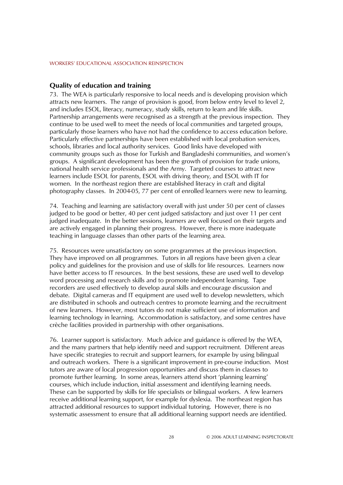### **Quality of education and training**

73. The WEA is particularly responsive to local needs and is developing provision which attracts new learners. The range of provision is good, from below entry level to level 2, and includes ESOL, literacy, numeracy, study skills, return to learn and life skills. Partnership arrangements were recognised as a strength at the previous inspection. They continue to be used well to meet the needs of local communities and targeted groups, particularly those learners who have not had the confidence to access education before. Particularly effective partnerships have been established with local probation services, schools, libraries and local authority services. Good links have developed with community groups such as those for Turkish and Bangladeshi communities, and womenís groups. A significant development has been the growth of provision for trade unions, national health service professionals and the Army. Targeted courses to attract new learners include ESOL for parents, ESOL with driving theory, and ESOL with IT for women. In the northeast region there are established literacy in craft and digital photography classes. In 2004-05, 77 per cent of enrolled learners were new to learning.

74. Teaching and learning are satisfactory overall with just under 50 per cent of classes judged to be good or better, 40 per cent judged satisfactory and just over 11 per cent judged inadequate. In the better sessions, learners are well focused on their targets and are actively engaged in planning their progress. However, there is more inadequate teaching in language classes than other parts of the learning area.

75. Resources were unsatisfactory on some programmes at the previous inspection. They have improved on all programmes. Tutors in all regions have been given a clear policy and guidelines for the provision and use of skills for life resources. Learners now have better access to IT resources. In the best sessions, these are used well to develop word processing and research skills and to promote independent learning. Tape recorders are used effectively to develop aural skills and encourage discussion and debate. Digital cameras and IT equipment are used well to develop newsletters, which are distributed in schools and outreach centres to promote learning and the recruitment of new learners. However, most tutors do not make sufficient use of information and learning technology in learning. Accommodation is satisfactory, and some centres have crèche facilities provided in partnership with other organisations.

76. Learner support is satisfactory. Much advice and guidance is offered by the WEA, and the many partners that help identify need and support recruitment. Different areas have specific strategies to recruit and support learners, for example by using bilingual and outreach workers. There is a significant improvement in pre-course induction. Most tutors are aware of local progression opportunities and discuss them in classes to promote further learning. In some areas, learners attend short 'planning learning' courses, which include induction, initial assessment and identifying learning needs. These can be supported by skills for life specialists or bilingual workers. A few learners receive additional learning support, for example for dyslexia. The northeast region has attracted additional resources to support individual tutoring. However, there is no systematic assessment to ensure that all additional learning support needs are identified.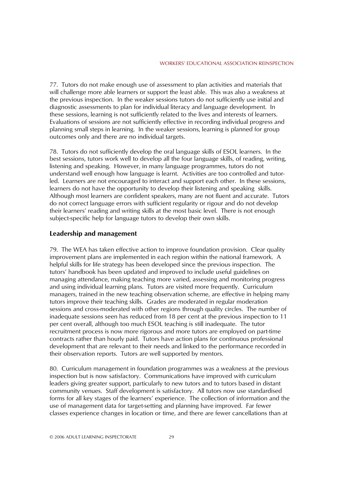77. Tutors do not make enough use of assessment to plan activities and materials that will challenge more able learners or support the least able. This was also a weakness at the previous inspection. In the weaker sessions tutors do not sufficiently use initial and diagnostic assessments to plan for individual literacy and language development. In these sessions, learning is not sufficiently related to the lives and interests of learners. Evaluations of sessions are not sufficiently effective in recording individual progress and planning small steps in learning. In the weaker sessions, learning is planned for group outcomes only and there are no individual targets.

78. Tutors do not sufficiently develop the oral language skills of ESOL learners. In the best sessions, tutors work well to develop all the four language skills, of reading, writing, listening and speaking. However, in many language programmes, tutors do not understand well enough how language is learnt. Activities are too controlled and tutorled. Learners are not encouraged to interact and support each other. In these sessions, learners do not have the opportunity to develop their listening and speaking skills. Although most learners are confident speakers, many are not fluent and accurate. Tutors do not correct language errors with sufficient regularity or rigour and do not develop their learners' reading and writing skills at the most basic level. There is not enough subject-specific help for language tutors to develop their own skills.

### **Leadership and management**

79. The WEA has taken effective action to improve foundation provision. Clear quality improvement plans are implemented in each region within the national framework. A helpful skills for life strategy has been developed since the previous inspection. The tutorsí handbook has been updated and improved to include useful guidelines on managing attendance, making teaching more varied, assessing and monitoring progress and using individual learning plans. Tutors are visited more frequently. Curriculum managers, trained in the new teaching observation scheme, are effective in helping many tutors improve their teaching skills. Grades are moderated in regular moderation sessions and cross-moderated with other regions through quality circles. The number of inadequate sessions seen has reduced from 18 per cent at the previous inspection to 11 per cent overall, although too much ESOL teaching is still inadequate. The tutor recruitment process is now more rigorous and more tutors are employed on part-time contracts rather than hourly paid. Tutors have action plans for continuous professional development that are relevant to their needs and linked to the performance recorded in their observation reports. Tutors are well supported by mentors.

80. Curriculum management in foundation programmes was a weakness at the previous inspection but is now satisfactory. Communications have improved with curriculum leaders giving greater support, particularly to new tutors and to tutors based in distant community venues. Staff development is satisfactory. All tutors now use standardised forms for all key stages of the learnersí experience. The collection of information and the use of management data for target-setting and planning have improved. Far fewer classes experience changes in location or time, and there are fewer cancellations than at